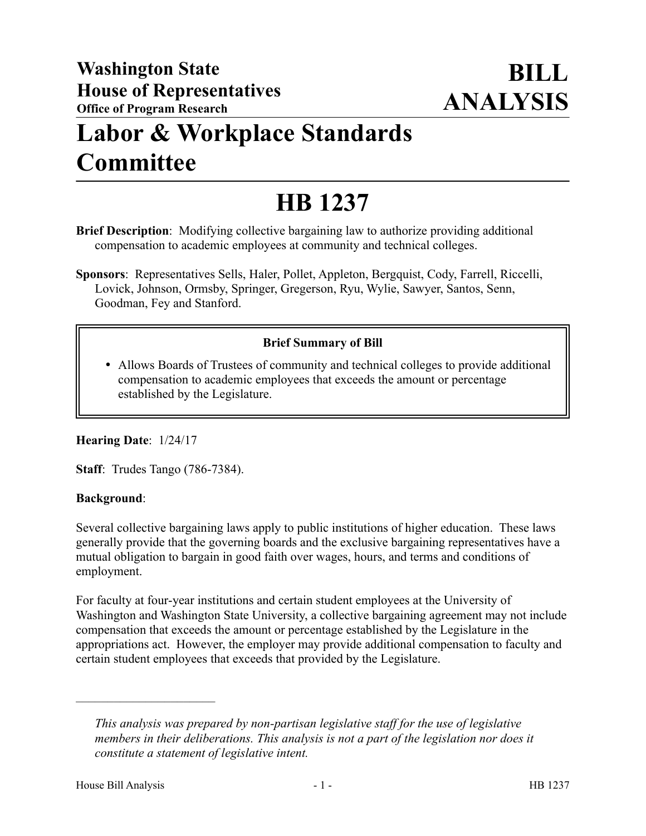## **Labor & Workplace Standards Committee**

# **HB 1237**

**Brief Description**: Modifying collective bargaining law to authorize providing additional compensation to academic employees at community and technical colleges.

**Sponsors**: Representatives Sells, Haler, Pollet, Appleton, Bergquist, Cody, Farrell, Riccelli, Lovick, Johnson, Ormsby, Springer, Gregerson, Ryu, Wylie, Sawyer, Santos, Senn, Goodman, Fey and Stanford.

### **Brief Summary of Bill**

 Allows Boards of Trustees of community and technical colleges to provide additional compensation to academic employees that exceeds the amount or percentage established by the Legislature.

#### **Hearing Date**: 1/24/17

**Staff**: Trudes Tango (786-7384).

#### **Background**:

Several collective bargaining laws apply to public institutions of higher education. These laws generally provide that the governing boards and the exclusive bargaining representatives have a mutual obligation to bargain in good faith over wages, hours, and terms and conditions of employment.

For faculty at four-year institutions and certain student employees at the University of Washington and Washington State University, a collective bargaining agreement may not include compensation that exceeds the amount or percentage established by the Legislature in the appropriations act. However, the employer may provide additional compensation to faculty and certain student employees that exceeds that provided by the Legislature.

––––––––––––––––––––––

*This analysis was prepared by non-partisan legislative staff for the use of legislative members in their deliberations. This analysis is not a part of the legislation nor does it constitute a statement of legislative intent.*